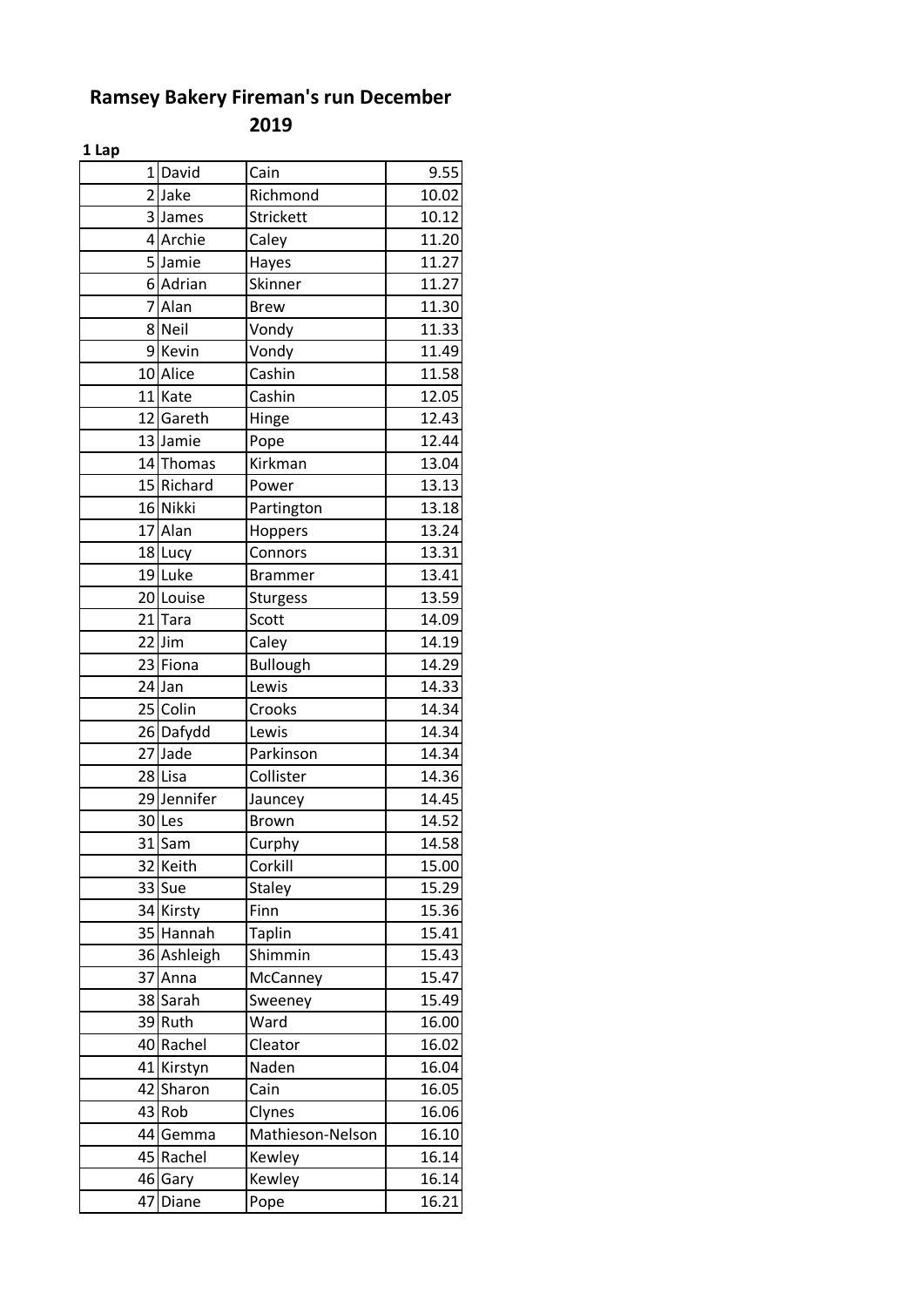| 1 Lap        |             |                  |       |
|--------------|-------------|------------------|-------|
| $\mathbf{1}$ | David       | Cain             | 9.55  |
|              | 2 Jake      | Richmond         | 10.02 |
|              | 3 James     | <b>Strickett</b> | 10.12 |
|              | 4 Archie    | Caley            | 11.20 |
|              | 5 Jamie     | Hayes            | 11.27 |
|              | 6 Adrian    | Skinner          | 11.27 |
| 7            | Alan        | <b>Brew</b>      | 11.30 |
|              | 8 Neil      | Vondy            | 11.33 |
|              | 9 Kevin     | Vondy            | 11.49 |
|              | 10 Alice    | Cashin           | 11.58 |
|              | 11 Kate     | Cashin           | 12.05 |
|              | 12 Gareth   | Hinge            | 12.43 |
|              | 13 Jamie    | Pope             | 12.44 |
|              | 14 Thomas   | Kirkman          | 13.04 |
|              | 15 Richard  | Power            | 13.13 |
|              | 16 Nikki    | Partington       | 13.18 |
|              | 17 Alan     | Hoppers          | 13.24 |
|              | 18 Lucy     | Connors          | 13.31 |
|              | 19 Luke     | <b>Brammer</b>   | 13.41 |
|              | 20 Louise   | <b>Sturgess</b>  | 13.59 |
|              | 21 Tara     | Scott            | 14.09 |
|              | $22$ Jim    | Caley            | 14.19 |
|              | 23 Fiona    | <b>Bullough</b>  | 14.29 |
|              | $24$ Jan    | Lewis            | 14.33 |
|              | 25 Colin    | Crooks           | 14.34 |
|              | 26 Dafydd   | Lewis            | 14.34 |
|              | 27 Jade     | Parkinson        | 14.34 |
|              | 28 Lisa     | Collister        | 14.36 |
|              | 29 Jennifer | Jauncey          | 14.45 |
|              | 30 Les      | <b>Brown</b>     | 14.52 |
|              | 31 Sam      | Curphy           | 14.58 |
| 32           | Keith       | Corkill          | 15.00 |
| 33           | Sue         | <b>Staley</b>    | 15.29 |
| 34           | Kirsty      | Finn             | 15.36 |
| 35           | Hannah      | <b>Taplin</b>    | 15.41 |
|              | 36 Ashleigh | Shimmin          | 15.43 |
| 37           | Anna        | McCanney         | 15.47 |
| 38           | Sarah       | Sweeney          | 15.49 |
| 39           | Ruth        | Ward             | 16.00 |
| 40           | Rachel      | Cleator          | 16.02 |
| 41           | Kirstyn     | Naden            | 16.04 |
| 42           | Sharon      | Cain             | 16.05 |
| 43           | Rob         | Clynes           | 16.06 |
| 44           | Gemma       | Mathieson-Nelson | 16.10 |
| 45           | Rachel      | Kewley           | 16.14 |
| 46           | Gary        | Kewley           | 16.14 |
| 47           | Diane       | Pope             | 16.21 |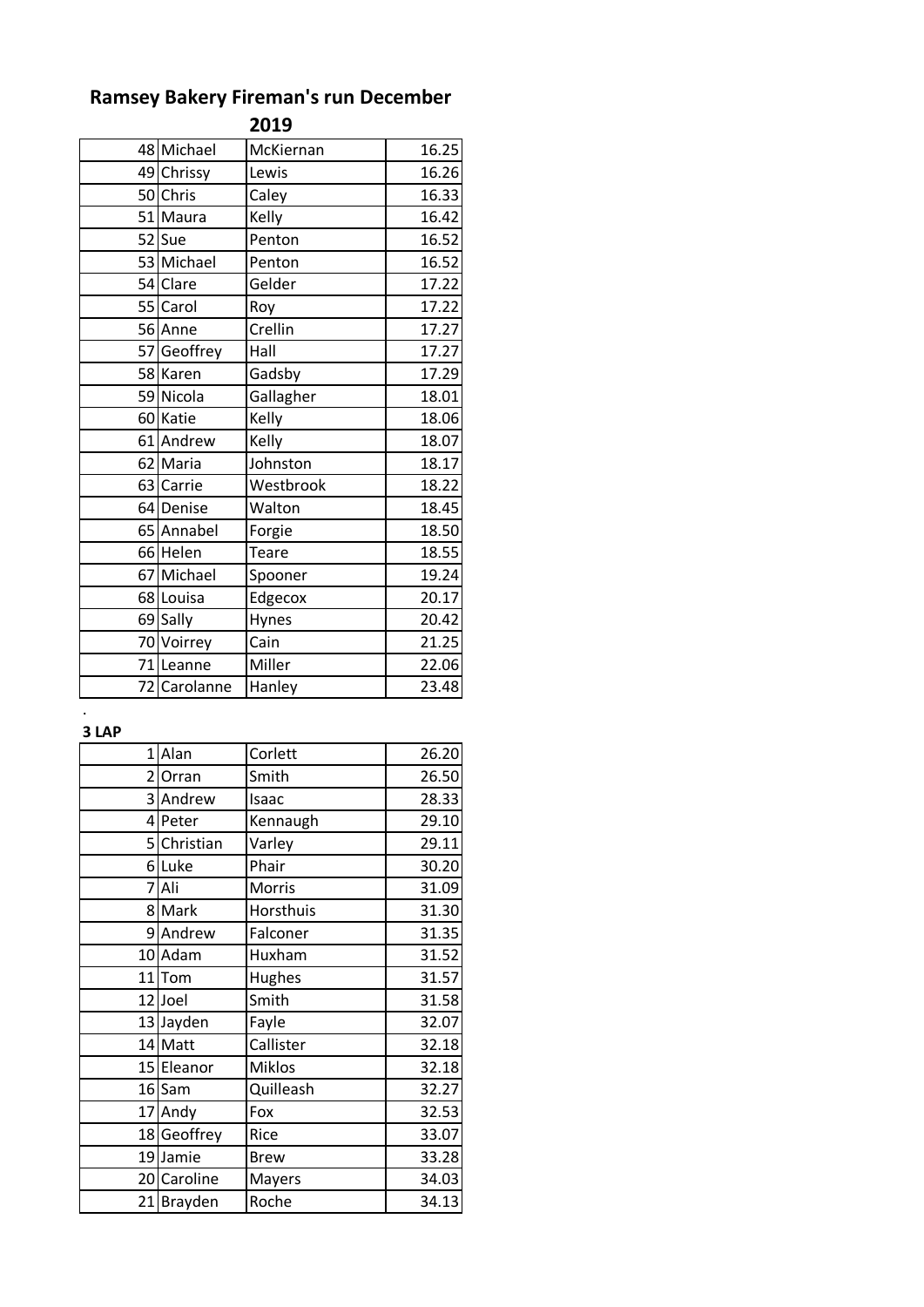|              | 2019      |       |
|--------------|-----------|-------|
| 48 Michael   | McKiernan | 16.25 |
| 49 Chrissy   | Lewis     | 16.26 |
| 50 Chris     | Caley     | 16.33 |
| 51 Maura     | Kelly     | 16.42 |
| 52 Sue       | Penton    | 16.52 |
| 53 Michael   | Penton    | 16.52 |
| 54 Clare     | Gelder    | 17.22 |
| 55 Carol     | Roy       | 17.22 |
| 56 Anne      | Crellin   | 17.27 |
| 57 Geoffrey  | Hall      | 17.27 |
| 58 Karen     | Gadsby    | 17.29 |
| 59 Nicola    | Gallagher | 18.01 |
| 60 Katie     | Kelly     | 18.06 |
| 61 Andrew    | Kelly     | 18.07 |
| 62 Maria     | Johnston  | 18.17 |
| 63 Carrie    | Westbrook | 18.22 |
| 64 Denise    | Walton    | 18.45 |
| 65 Annabel   | Forgie    | 18.50 |
| 66 Helen     | Teare     | 18.55 |
| 67 Michael   | Spooner   | 19.24 |
| 68 Louisa    | Edgecox   | 20.17 |
| 69 Sally     | Hynes     | 20.42 |
| 70 Voirrey   | Cain      | 21.25 |
| 71 Leanne    | Miller    | 22.06 |
| 72 Carolanne | Hanley    | 23.48 |

#### **3 LAP**

.

| 1 | Alan        | Corlett       | 26.20 |
|---|-------------|---------------|-------|
|   | 2 Orran     | Smith         | 26.50 |
|   | 3 Andrew    | Isaac         | 28.33 |
|   | 4 Peter     | Kennaugh      | 29.10 |
|   | 5 Christian | Varley        | 29.11 |
|   | 6Luke       | Phair         | 30.20 |
|   | 7Ali        | Morris        | 31.09 |
|   | 8 Mark      | Horsthuis     | 31.30 |
|   | 9 Andrew    | Falconer      | 31.35 |
|   | 10 Adam     | Huxham        | 31.52 |
|   | 11 Tom      | <b>Hughes</b> | 31.57 |
|   | 12Joel      | Smith         | 31.58 |
|   | 13 Jayden   | Fayle         | 32.07 |
|   | 14 Matt     | Callister     | 32.18 |
|   | 15 Eleanor  | <b>Miklos</b> | 32.18 |
|   | 16 Sam      | Quilleash     | 32.27 |
|   | 17 Andy     | Fox           | 32.53 |
|   | 18 Geoffrey | Rice          | 33.07 |
|   | 19 Jamie    | <b>Brew</b>   | 33.28 |
|   | 20 Caroline | Mayers        | 34.03 |
|   | 21 Brayden  | Roche         | 34.13 |
|   |             |               |       |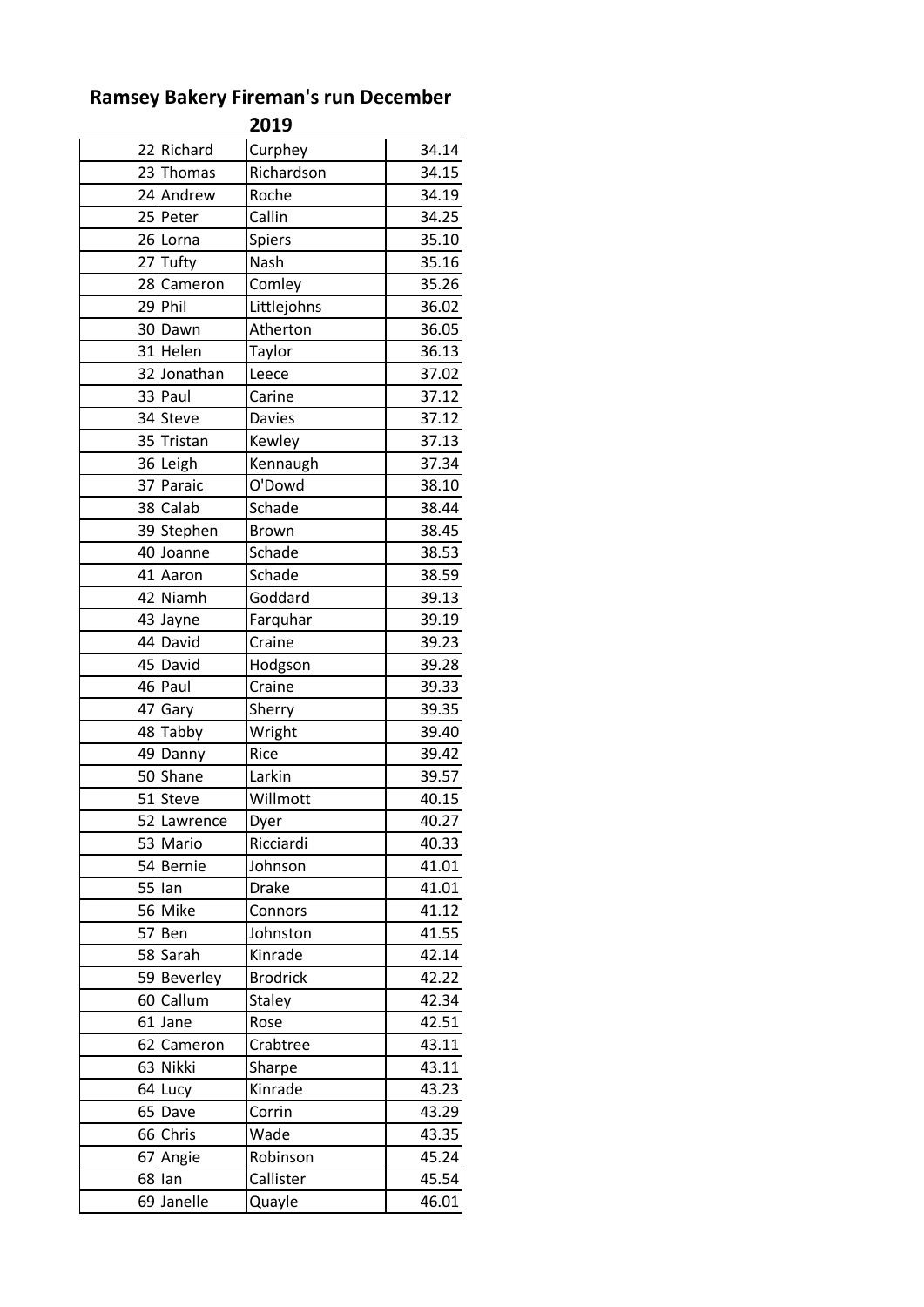| 2019 |             |                 |       |
|------|-------------|-----------------|-------|
|      | 22 Richard  | Curphey         | 34.14 |
|      | 23 Thomas   | Richardson      | 34.15 |
|      | 24 Andrew   | Roche           | 34.19 |
|      | 25 Peter    | Callin          | 34.25 |
|      | 26 Lorna    | <b>Spiers</b>   | 35.10 |
|      | 27 Tufty    | Nash            | 35.16 |
|      | 28 Cameron  | Comley          | 35.26 |
|      | 29 Phil     | Littlejohns     | 36.02 |
|      | 30 Dawn     | Atherton        | 36.05 |
|      | 31 Helen    | Taylor          | 36.13 |
|      | 32 Jonathan | Leece           | 37.02 |
|      | 33 Paul     | Carine          | 37.12 |
|      | 34 Steve    | <b>Davies</b>   | 37.12 |
|      | 35 Tristan  | Kewley          | 37.13 |
|      | 36 Leigh    | Kennaugh        | 37.34 |
|      | 37 Paraic   | O'Dowd          | 38.10 |
|      | 38 Calab    | Schade          | 38.44 |
|      | 39 Stephen  | <b>Brown</b>    | 38.45 |
|      | 40 Joanne   | Schade          | 38.53 |
|      | 41 Aaron    | Schade          | 38.59 |
|      | 42 Niamh    | Goddard         | 39.13 |
|      | 43 Jayne    | Farquhar        | 39.19 |
|      | 44 David    | Craine          | 39.23 |
|      | 45 David    | Hodgson         | 39.28 |
|      | 46 Paul     | Craine          | 39.33 |
|      | 47 Gary     | Sherry          | 39.35 |
|      | 48 Tabby    | Wright          | 39.40 |
|      | 49 Danny    | Rice            | 39.42 |
|      | 50 Shane    | Larkin          | 39.57 |
|      | 51 Steve    | Willmott        | 40.15 |
|      | 52 Lawrence | Dyer            | 40.27 |
|      | 53 Mario    | Ricciardi       | 40.33 |
|      | 54 Bernie   | Johnson         | 41.01 |
|      | 55 lan      | <b>Drake</b>    | 41.01 |
|      | 56 Mike     | Connors         | 41.12 |
|      | 57 Ben      | Johnston        | 41.55 |
|      | 58 Sarah    | Kinrade         | 42.14 |
|      | 59 Beverley | <b>Brodrick</b> | 42.22 |
|      | 60 Callum   | <b>Staley</b>   | 42.34 |
|      | 61 Jane     | Rose            | 42.51 |
|      | 62 Cameron  | Crabtree        | 43.11 |
|      | 63 Nikki    | Sharpe          | 43.11 |
|      | 64 Lucy     | Kinrade         | 43.23 |
|      | 65 Dave     | Corrin          | 43.29 |
|      | 66 Chris    | Wade            | 43.35 |
|      | 67 Angie    | Robinson        | 45.24 |
|      | 68 Ian      | Callister       | 45.54 |
|      | 69 Janelle  | Quayle          | 46.01 |